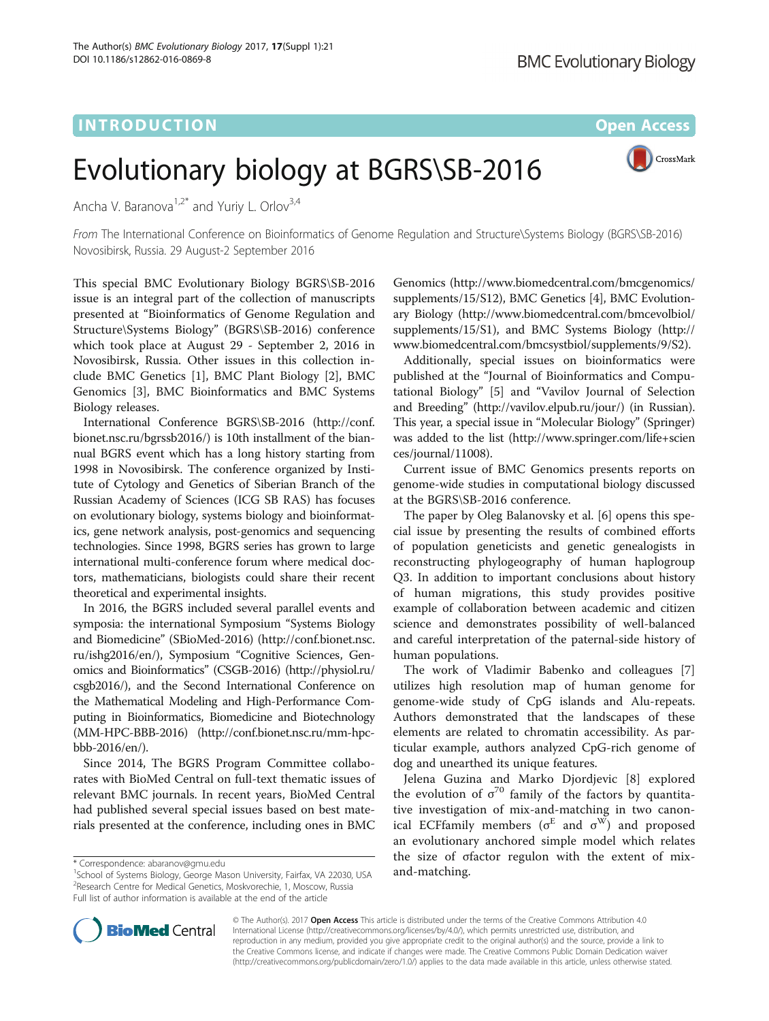**INTRODUCTION CONSUMING THE OPEN ACCESS** 

CrossMark

# Evolutionary biology at BGRS\SB-2016

Ancha V. Baranova $1.2^*$  and Yuriy L. Orlov $3.4$ 

From The International Conference on Bioinformatics of Genome Regulation and Structure\Systems Biology (BGRS\SB-2016) Novosibirsk, Russia. 29 August-2 September 2016

This special BMC Evolutionary Biology BGRS\SB-2016 issue is an integral part of the collection of manuscripts presented at "Bioinformatics of Genome Regulation and Structure\Systems Biology" (BGRS\SB-2016) conference which took place at August 29 - September 2, 2016 in Novosibirsk, Russia. Other issues in this collection include BMC Genetics [\[1](#page-1-0)], BMC Plant Biology [[2](#page-1-0)], BMC Genomics [[3\]](#page-1-0), BMC Bioinformatics and BMC Systems Biology releases.

International Conference BGRS\SB-2016 [\(http://conf.](http://conf.bionet.nsc.ru/bgrssb2016/) [bionet.nsc.ru/bgrssb2016/](http://conf.bionet.nsc.ru/bgrssb2016/)) is 10th installment of the biannual BGRS event which has a long history starting from 1998 in Novosibirsk. The conference organized by Institute of Cytology and Genetics of Siberian Branch of the Russian Academy of Sciences (ICG SB RAS) has focuses on evolutionary biology, systems biology and bioinformatics, gene network analysis, post-genomics and sequencing technologies. Since 1998, BGRS series has grown to large international multi-conference forum where medical doctors, mathematicians, biologists could share their recent theoretical and experimental insights.

In 2016, the BGRS included several parallel events and symposia: the international Symposium "Systems Biology and Biomedicine" (SBioMed-2016) ([http://conf.bionet.nsc.](http://conf.bionet.nsc.ru/ishg2016/en/) [ru/ishg2016/en/\)](http://conf.bionet.nsc.ru/ishg2016/en/), Symposium "Cognitive Sciences, Genomics and Bioinformatics" (CSGB-2016) [\(http://physiol.ru/](http://physiol.ru/csgb2016/) [csgb2016/](http://physiol.ru/csgb2016/)), and the Second International Conference on the Mathematical Modeling and High-Performance Computing in Bioinformatics, Biomedicine and Biotechnology (MM-HPC-BBB-2016) [\(http://conf.bionet.nsc.ru/mm-hpc](http://conf.bionet.nsc.ru/mm-hpc-bbb-2016/en/)[bbb-2016/en/\)](http://conf.bionet.nsc.ru/mm-hpc-bbb-2016/en/).

Since 2014, The BGRS Program Committee collaborates with BioMed Central on full-text thematic issues of relevant BMC journals. In recent years, BioMed Central had published several special issues based on best materials presented at the conference, including ones in BMC Genomics [\(http://www.biomedcentral.com/bmcgenomics/](http://www.biomedcentral.com/bmcgenomics/supplements/15/S12) [supplements/15/S12](http://www.biomedcentral.com/bmcgenomics/supplements/15/S12)), BMC Genetics [[4](#page-1-0)], BMC Evolutionary Biology [\(http://www.biomedcentral.com/bmcevolbiol/](http://www.biomedcentral.com/bmcevolbiol/supplements/15/S1) [supplements/15/S1\)](http://www.biomedcentral.com/bmcevolbiol/supplements/15/S1), and BMC Systems Biology ([http://](http://www.biomedcentral.com/bmcsystbiol/supplements/9/S2) [www.biomedcentral.com/bmcsystbiol/supplements/9/S2](http://www.biomedcentral.com/bmcsystbiol/supplements/9/S2)).

Additionally, special issues on bioinformatics were published at the "Journal of Bioinformatics and Computational Biology" [[5](#page-1-0)] and "Vavilov Journal of Selection and Breeding" ([http://vavilov.elpub.ru/jour/\)](http://vavilov.elpub.ru/jour/) (in Russian). This year, a special issue in "Molecular Biology" (Springer) was added to the list [\(http://www.springer.com/life+scien](http://www.springer.com/life+sciences/journal/11008) [ces/journal/11008](http://www.springer.com/life+sciences/journal/11008)).

Current issue of BMC Genomics presents reports on genome-wide studies in computational biology discussed at the BGRS\SB-2016 conference.

The paper by Oleg Balanovsky et al. [\[6](#page-1-0)] opens this special issue by presenting the results of combined efforts of population geneticists and genetic genealogists in reconstructing phylogeography of human haplogroup Q3. In addition to important conclusions about history of human migrations, this study provides positive example of collaboration between academic and citizen science and demonstrates possibility of well-balanced and careful interpretation of the paternal-side history of human populations.

The work of Vladimir Babenko and colleagues [\[7](#page-1-0)] utilizes high resolution map of human genome for genome-wide study of CpG islands and Alu-repeats. Authors demonstrated that the landscapes of these elements are related to chromatin accessibility. As particular example, authors analyzed CpG-rich genome of dog and unearthed its unique features.

Jelena Guzina and Marko Djordjevic [[8\]](#page-2-0) explored the evolution of  $\sigma^{70}$  family of the factors by quantitative investigation of mix-and-matching in two canonical ECFfamily members ( $\sigma$ <sup>E</sup> and  $\sigma$ <sup>W</sup>) and proposed an evolutionary anchored simple model which relates the size of σfactor regulon with the extent of mix-



© The Author(s). 2017 **Open Access** This article is distributed under the terms of the Creative Commons Attribution 4.0 International License [\(http://creativecommons.org/licenses/by/4.0/](http://creativecommons.org/licenses/by/4.0/)), which permits unrestricted use, distribution, and reproduction in any medium, provided you give appropriate credit to the original author(s) and the source, provide a link to the Creative Commons license, and indicate if changes were made. The Creative Commons Public Domain Dedication waiver [\(http://creativecommons.org/publicdomain/zero/1.0/](http://creativecommons.org/publicdomain/zero/1.0/)) applies to the data made available in this article, unless otherwise stated.

<sup>\*</sup> Correspondence: [abaranov@gmu.edu](mailto:abaranov@gmu.edu)<br><sup>1</sup>School of Systems Biology, George Mason University, Fairfax, VA 22030, USA **and-matching.** 2 Research Centre for Medical Genetics, Moskvorechie, 1, Moscow, Russia Full list of author information is available at the end of the article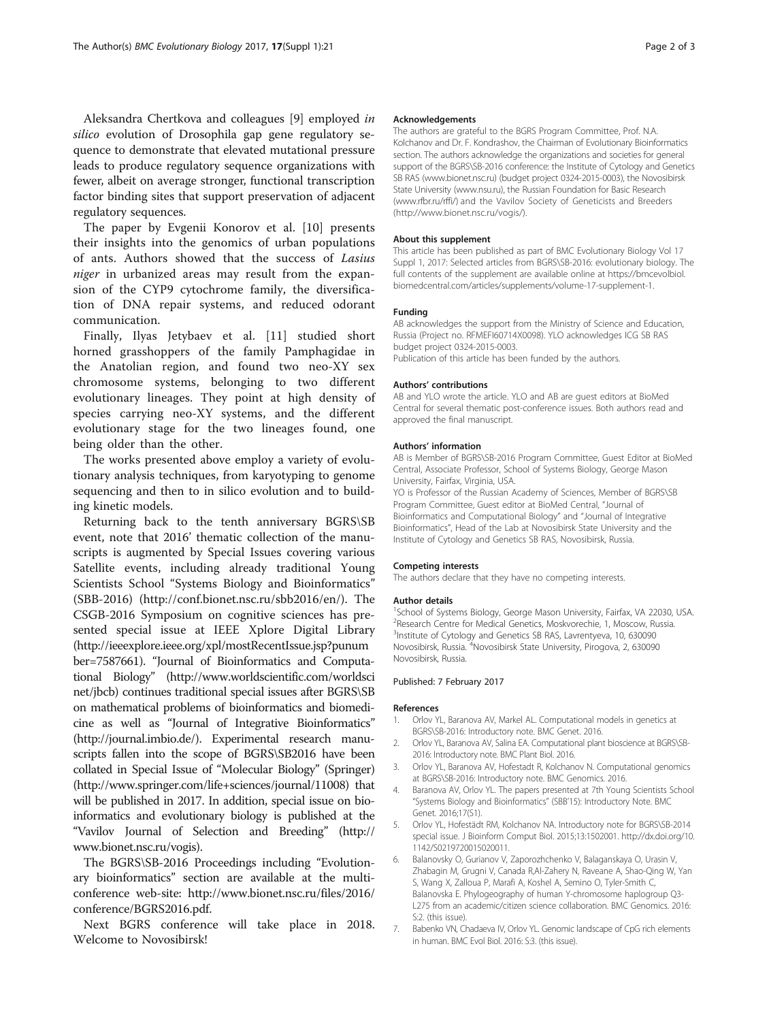## <span id="page-1-0"></span>Aleksandra Chertkova and colleagues [\[9](#page-2-0)] employed in silico evolution of Drosophila gap gene regulatory sequence to demonstrate that elevated mutational pressure leads to produce regulatory sequence organizations with fewer, albeit on average stronger, functional transcription factor binding sites that support preservation of adjacent regulatory sequences.

The paper by Evgenii Konorov et al. [\[10](#page-2-0)] presents their insights into the genomics of urban populations of ants. Authors showed that the success of Lasius niger in urbanized areas may result from the expansion of the CYP9 cytochrome family, the diversification of DNA repair systems, and reduced odorant communication.

Finally, Ilyas Jetybaev et al. [\[11](#page-2-0)] studied short horned grasshoppers of the family Pamphagidae in the Anatolian region, and found two neo-XY sex chromosome systems, belonging to two different evolutionary lineages. They point at high density of species carrying neo-XY systems, and the different evolutionary stage for the two lineages found, one being older than the other.

The works presented above employ a variety of evolutionary analysis techniques, from karyotyping to genome sequencing and then to in silico evolution and to building kinetic models.

Returning back to the tenth anniversary BGRS\SB event, note that 2016' thematic collection of the manuscripts is augmented by Special Issues covering various Satellite events, including already traditional Young Scientists School "Systems Biology and Bioinformatics" (SBB-2016) [\(http://conf.bionet.nsc.ru/sbb2016/en/\)](http://conf.bionet.nsc.ru/sbb2016/en/). The CSGB-2016 Symposium on cognitive sciences has presented special issue at IEEE Xplore Digital Library ([http://ieeexplore.ieee.org/xpl/mostRecentIssue.jsp?punum](http://ieeexplore.ieee.org/xpl/mostRecentIssue.jsp?punumber=7587661) [ber=7587661\)](http://ieeexplore.ieee.org/xpl/mostRecentIssue.jsp?punumber=7587661). "Journal of Bioinformatics and Computational Biology" ([http://www.worldscientific.com/worldsci](http://www.worldscientific.com/worldscinet/jbcb) [net/jbcb\)](http://www.worldscientific.com/worldscinet/jbcb) continues traditional special issues after BGRS\SB on mathematical problems of bioinformatics and biomedicine as well as "Journal of Integrative Bioinformatics" (<http://journal.imbio.de/>). Experimental research manuscripts fallen into the scope of BGRS\SB2016 have been collated in Special Issue of "Molecular Biology" (Springer) ([http://www.springer.com/life+sciences/journal/11008\)](http://www.springer.com/life+sciences/journal/11008) that will be published in 2017. In addition, special issue on bioinformatics and evolutionary biology is published at the "Vavilov Journal of Selection and Breeding" [\(http://](http://www.bionet.nsc.ru/vogis) [www.bionet.nsc.ru/vogis\)](http://www.bionet.nsc.ru/vogis).

The BGRS\SB-2016 Proceedings including "Evolutionary bioinformatics" section are available at the multiconference web-site: [http://www.bionet.nsc.ru/files/2016/](http://www.bionet.nsc.ru/files/2016/conference/BGRS2016.pdf) [conference/BGRS2016.pdf](http://www.bionet.nsc.ru/files/2016/conference/BGRS2016.pdf).

Next BGRS conference will take place in 2018. Welcome to Novosibirsk!

#### Acknowledgements

The authors are grateful to the BGRS Program Committee, Prof. N.A. Kolchanov and Dr. F. Kondrashov, the Chairman of Evolutionary Bioinformatics section. The authors acknowledge the organizations and societies for general support of the BGRS\SB-2016 conference: the Institute of Cytology and Genetics SB RAS [\(www.bionet.nsc.ru\)](http://www.bionet.nsc.ru/) (budget project 0324-2015-0003), the Novosibirsk State University [\(www.nsu.ru\)](http://www.nsu.ru/), the Russian Foundation for Basic Research ([www.rfbr.ru/rffi/](http://www.rfbr.ru/rffi/)) and the Vavilov Society of Geneticists and Breeders ([http://www.bionet.nsc.ru/vogis/\)](http://www.bionet.nsc.ru/vogis/).

#### About this supplement

This article has been published as part of BMC Evolutionary Biology Vol 17 Suppl 1, 2017: Selected articles from BGRS\SB-2016: evolutionary biology. The full contents of the supplement are available online at [https://bmcevolbiol.](https://bmcevolbiol.biomedcentral.com/articles/supplements/volume-17-supplement-1) [biomedcentral.com/articles/supplements/volume-17-supplement-1.](https://bmcevolbiol.biomedcentral.com/articles/supplements/volume-17-supplement-1)

#### Funding

AB acknowledges the support from the Ministry of Science and Education, Russia (Project no. RFMEFI60714X0098). YLO acknowledges ICG SB RAS budget project 0324-2015-0003.

Publication of this article has been funded by the authors.

### Authors' contributions

AB and YLO wrote the article. YLO and AB are guest editors at BioMed Central for several thematic post-conference issues. Both authors read and approved the final manuscript.

#### Authors' information

AB is Member of BGRS\SB-2016 Program Committee, Guest Editor at BioMed Central, Associate Professor, School of Systems Biology, George Mason University, Fairfax, Virginia, USA.

YO is Professor of the Russian Academy of Sciences, Member of BGRS\SB Program Committee, Guest editor at BioMed Central, "Journal of Bioinformatics and Computational Biology" and "Journal of Integrative Bioinformatics", Head of the Lab at Novosibirsk State University and the Institute of Cytology and Genetics SB RAS, Novosibirsk, Russia.

#### Competing interests

The authors declare that they have no competing interests.

#### Author details

<sup>1</sup>School of Systems Biology, George Mason University, Fairfax, VA 22030, USA 2 Research Centre for Medical Genetics, Moskvorechie, 1, Moscow, Russia. <sup>3</sup>Institute of Cytology and Genetics SB RAS, Lavrentyeva, 10, 630090 Novosibirsk, Russia. <sup>4</sup> Novosibirsk State University, Pirogova, 2, 630090 Novosibirsk, Russia.

#### Published: 7 February 2017

#### References

- 1. Orlov YL, Baranova AV, Markel AL. Computational models in genetics at BGRS\SB-2016: Introductory note. BMC Genet. 2016.
- 2. Orlov YL, Baranova AV, Salina EA. Computational plant bioscience at BGRS\SB-2016: Introductory note. BMC Plant Biol. 2016.
- 3. Orlov YL, Baranova AV, Hofestadt R, Kolchanov N. Computational genomics at BGRS\SB-2016: Introductory note. BMC Genomics. 2016.
- 4. Baranova AV, Orlov YL. The papers presented at 7th Young Scientists School "Systems Biology and Bioinformatics" (SBB'15): Introductory Note. BMC Genet. 2016;17(S1).
- 5. Orlov YL, Hofestädt RM, Kolchanov NA. Introductory note for BGRS\SB-2014 special issue. J Bioinform Comput Biol. 2015;13:1502001. [http://dx.doi.org/10.](http://dx.doi.org/10.1142/S0219720015020011) [1142/S0219720015020011.](http://dx.doi.org/10.1142/S0219720015020011)
- 6. Balanovsky O, Gurianov V, Zaporozhchenko V, Balaganskaya O, Urasin V, Zhabagin M, Grugni V, Canada R,Al-Zahery N, Raveane A, Shao-Qing W, Yan S, Wang X, Zalloua P, Marafi A, Koshel A, Semino O, Tyler-Smith C, Balanovska E. Phylogeography of human Y-chromosome haplogroup Q3- L275 from an academic/citizen science collaboration. BMC Genomics. 2016: S:2. (this issue).
- 7. Babenko VN, Chadaeva IV, Orlov YL. Genomic landscape of CpG rich elements in human. BMC Evol Biol. 2016: S:3. (this issue).